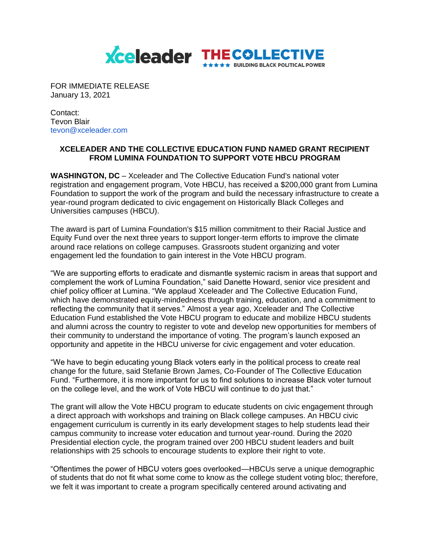

FOR IMMEDIATE RELEASE January 13, 2021

Contact: Tevon Blair tevon@xceleader.com

## **XCELEADER AND THE COLLECTIVE EDUCATION FUND NAMED GRANT RECIPIENT FROM LUMINA FOUNDATION TO SUPPORT VOTE HBCU PROGRAM**

**WASHINGTON, DC** – Xceleader and The Collective Education Fund's national voter registration and engagement program, Vote HBCU, has received a \$200,000 grant from Lumina Foundation to support the work of the program and build the necessary infrastructure to create a year-round program dedicated to civic engagement on Historically Black Colleges and Universities campuses (HBCU).

The award is part of Lumina Foundation's \$15 million commitment to their Racial Justice and Equity Fund over the next three years to support longer-term efforts to improve the climate around race relations on college campuses. Grassroots student organizing and voter engagement led the foundation to gain interest in the Vote HBCU program.

"We are supporting efforts to eradicate and dismantle systemic racism in areas that support and complement the work of Lumina Foundation," said Danette Howard, senior vice president and chief policy officer at Lumina. "We applaud Xceleader and The Collective Education Fund, which have demonstrated equity-mindedness through training, education, and a commitment to reflecting the community that it serves." Almost a year ago, Xceleader and The Collective Education Fund established the Vote HBCU program to educate and mobilize HBCU students and alumni across the country to register to vote and develop new opportunities for members of their community to understand the importance of voting. The program's launch exposed an opportunity and appetite in the HBCU universe for civic engagement and voter education.

"We have to begin educating young Black voters early in the political process to create real change for the future, said Stefanie Brown James, Co-Founder of The Collective Education Fund. "Furthermore, it is more important for us to find solutions to increase Black voter turnout on the college level, and the work of Vote HBCU will continue to do just that."

The grant will allow the Vote HBCU program to educate students on civic engagement through a direct approach with workshops and training on Black college campuses. An HBCU civic engagement curriculum is currently in its early development stages to help students lead their campus community to increase voter education and turnout year-round. During the 2020 Presidential election cycle, the program trained over 200 HBCU student leaders and built relationships with 25 schools to encourage students to explore their right to vote.

"Oftentimes the power of HBCU voters goes overlooked—HBCUs serve a unique demographic of students that do not fit what some come to know as the college student voting bloc; therefore, we felt it was important to create a program specifically centered around activating and